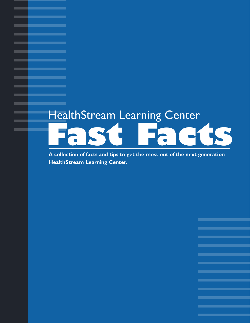# HealthStream Learning Center **Fast Facts**

**A collection of facts and tips to get the most out of the next generation HealthStream Learning Center.**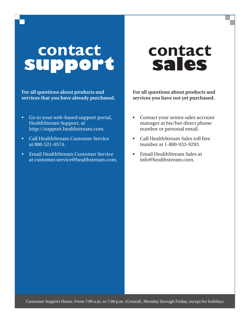## **contact support**

**For all questions about products and services that you have already purchased.** 

- Go to your web-based support portal, HealthStream Support, at http://support.healthstream.com. •
- Call HealthStream Customer Service at 800-521-0574. •
- Email HealthStream Customer Service at customer.service@healthstream.com. •

## **contact sales**

**For all questions about products and services you have not yet purchased.**

- Contact your senior sales account manager at his/her direct phone number or personal email. •
- Call HealthStream Sales toll free number at 1-800-933-9293. •
- Email HealthStream Sales at info@healthstream.com. •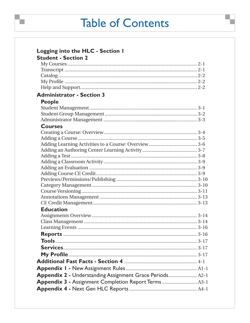### **Table of Contents**

| Logging into the HLC - Section I                         |
|----------------------------------------------------------|
| <b>Student - Section 2</b>                               |
|                                                          |
|                                                          |
|                                                          |
|                                                          |
|                                                          |
| <b>Administrator - Section 3</b>                         |
| <b>People</b>                                            |
|                                                          |
|                                                          |
|                                                          |
| <b>Courses</b>                                           |
|                                                          |
|                                                          |
|                                                          |
|                                                          |
|                                                          |
|                                                          |
|                                                          |
|                                                          |
|                                                          |
|                                                          |
|                                                          |
|                                                          |
|                                                          |
| <b>Education</b>                                         |
|                                                          |
|                                                          |
|                                                          |
|                                                          |
|                                                          |
|                                                          |
|                                                          |
|                                                          |
|                                                          |
|                                                          |
| Appendix 2 - Understanding Assignment Grace Periods A2-1 |
| Appendix 3 - Assignment Completion Report Terms  A3-1    |
|                                                          |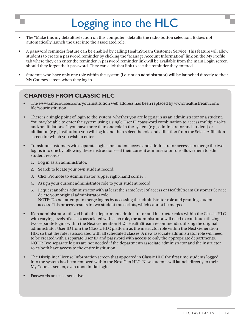## Logging into the HLC

- The "Make this my default selection on this computer" defaults the radio button selection. It does not automatically launch the user into the associated role. •
- A password reminder feature can be enabled by calling HealthStream Customer Service. This feature will allow students to create a password reminder by clicking the "Manage Account Information" link on the My Profile tab where they can enter the reminder. A password reminder link will be available from the main Login screen should they forget their password. They can click that link to see the reminder they entered. •
- Students who have only one role within the system (i.e. not an administrator) will be launched directly to their My Courses screen when they log in. •

- The www.cmecourses.com/yourInstitution web address has been replaced by www.healthstream.com/ hlc/yourInstitution. •
- There is a single point of login to the system, whether you are logging in as an administrator or a student. You may be able to enter the system using a single User ID/password combination to access multiple roles and/or affiliations. If you have more than one role in the system (e.g., administrator and student) or affiliation (e.g., institution) you will log in and then select the role and affiliation from the Select Affiliation screen for which you wish to enter. •
- Transition customers with separate logins for student access and administrator access can merge the two logins into one by following these instructions—if their current administrator role allows them to edit student records: •
	- Log in as an administrator. 1.
	- 2. Search to locate your own student record.
	- Click Promote to Administrator (upper right-hand corner). 3.
	- Assign your current administrator role to your student record. 4.
	- 5. Request another administrator with at least the same level of access or HealthStream Customer Service delete your original administrator role. NOTE: Do not attempt to merge logins by accessing the administrator role and granting student access. This process results in two student transcripts, which cannot be merged.
- If an administrator utilized both the department administrator and instructor roles within the Classic HLC with varying levels of access associated with each role, the administrator will need to continue utilizing two separate logins within the Next Generation HLC. HealthStream recommends utilizing the original administrator User ID from the Classic HLC platform as the instructor role within the Next Generation HLC so that the role is associated with all scheduled classes. A new associate administrator role will need to be created with a separate User ID and password with access to only the appropriate departments. NOTE: Two separate logins are not needed if the department/associate administrator and the instructor roles both have access to the entire institution. •
- The Discipline/License Information screen that appeared in Classic HLC the first time students logged into the system has been removed within the Next Gen HLC. New students will launch directly to their My Courses screen, even upon initial login. •
- Passwords are case-sensitive. •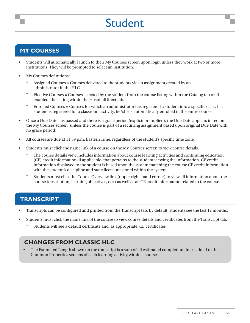### Student

#### **my courses**

- Students will automatically launch to their My Courses screen upon login unless they work at two or more institutions. They will be prompted to select an institution. •
- My Courses definitions: •
	- Assigned Courses = Courses delivered to the students via an assignment created by an administrator in the HLC. \*
	- Elective Courses = Courses selected by the student from the course listing within the Catalog tab or, if enabled, the listing within the HospitalDirect tab. \*
	- Enrolled Courses = Courses for which an administrator has registered a student into a specific class. If a student is registered for a classroom activity, he/she is automatically enrolled in the entire course. \*
- Once a Due Date has passed and there is a grace period (explicit or implied), the Due Date appears in red on the My Courses screen (unless the course is part of a recurring assignment based upon original Due Date with no grace period). •
- All courses are due at 11:59 p.m. Eastern Time, regardless of the student's specific time zone. •
- Students must click the name link of a course on the My Courses screen to view course details. •
	- The course details view includes information about course learning activities and continuing education (CE) credit information–if applicable–that pertains to the student viewing the information. CE credit information displayed to the student is based upon the system matching the course CE credit information with the student's discipline and state licensure stored within the system. \*
	- Students must click the Course Overview link (upper right-hand corner) to view all information about the course (description, learning objectives, etc.) as well as all CE credit information related to the course. \*

#### **transcript**

- Transcripts can be configured and printed from the Transcript tab. By default, students see the last 12 months. •
- Students must click the name link of the course to view course details and certificates from the Transcript tab. •
	- Students will see a default certificate and, as appropriate, CE certificates. \*

#### **Changes from Classic HLC**

The Estimated Length shown on the transcript is a sum of all estimated completion times added to the Common Properties screens of each learning activity within a course. •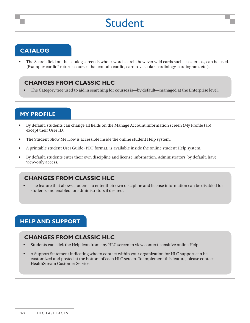### Student

#### **catalog**

The Search field on the catalog screen is whole-word search, however wild cards such as asterisks, can be used. (Example: cardio\* returns courses that contain cardio, cardio-vascular, cardiology, cardiogram, etc.). •

#### **Changes from Classic HLC**

• The Category tree used to aid in searching for courses is—by default—managed at the Enterprise level.

#### **my profile**

- By default, students can change all fields on the Manage Account Information screen (My Profile tab) except their User ID. •
- The Student Show Me How is accessible inside the online student Help system. •
- A printable student User Guide (PDF format) is available inside the online student Help system. •
- By default, students enter their own discipline and license information. Administrators, by default, have view-only access. •

#### **Changes from Classic HLC**

The feature that allows students to enter their own discipline and license information can be disabled for students and enabled for administrators if desired. •

#### **Help and Support**

- Students can click the Help icon from any HLC screen to view context-sensitive online Help. •
- A Support Statement indicating who to contact within your organization for HLC support can be customized and posted at the bottom of each HLC screen. To implement this feature, please contact HealthStream Customer Service. •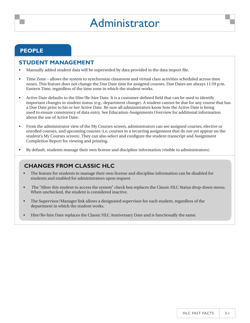#### **people**

#### **STUDENT MANAGEMENT**

- Manually added student data will be superseded by data provided in the data import file. •
- Time Zone allows the system to synchronize classroom and virtual class activities scheduled across time zones. This feature does not change the Due Date time for assigned courses. Due Dates are always 11:59 p.m. Eastern Time, regardless of the time zone in which the student works. •
- Active Date defaults to the Hire/Re-hire Date. It is a customer-defined field that can be used to identify important changes in student status (e.g., department change). A student cannot be due for any course that has a Due Date prior to his or her Active Date. Be sure all administrators know how the Active Date is being used to ensure consistency of data entry. See Education-Assignments Overview for additional information about the use of Active Date. •
- From the administrator view of the My Courses screen, administrators can see assigned courses, elective or enrolled courses, and upcoming courses (i.e. courses in a recurring assignment that do not yet appear on the student's My Courses screen). They can also select and configure the student transcript and Assignment Completion Report for viewing and printing. •
- By default, students manage their own license and discipline information (visible to administrators). •

- The feature for students to manage their own license and discipline information can be disabled for students and enabled for administrators upon request. •
- The "Allow this student to access the system" check box replaces the Classic HLC Status drop-down menu. When unchecked, the student is considered inactive. •
- The Supervisor/Manager link allows a designated supervisor for each student, regardless of the department in which the student works. •
- Hire/Re-hire Date replaces the Classic HLC Anniversary Date and is functionally the same. •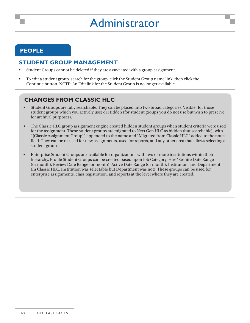#### **people**

#### **STUDENT GROUP MANAGEMENT**

- Student Groups cannot be deleted if they are associated with a group assignment. •
- To edit a student group, search for the group, click the Student Group name link, then click the Continue button. NOTE: An Edit link for the Student Group is no longer available. •

- Student Groups are fully searchable. They can be placed into two broad categories: Visible (for those student groups which you actively use) or Hidden (for student groups you do not use but wish to preserve for archival purposes). •
- The Classic HLC group assignment engine created hidden student groups when student criteria were used for the assignment. These student groups are migrated to Next Gen HLC as hidden (but searchable), with "[Classic Assignment Group]" appended to the name and "Migrated from Classic HLC" added to the notes field. They can be re-used for new assignments, used for reports, and any other area that allows selecting a student group. •
- Enterprise Student Groups are available for organizations with two or more institutions within their hierarchy. Profile Student Groups can be created based upon Job Category, Hire/Re-hire Date Range (or month), Review Date Range (or month), Active Date Range (or month), Institution, and Department (In Classic HLC, Institution was selectable but Department was not). These groups can be used for enterprise assignments, class registration, and reports at the level where they are created. •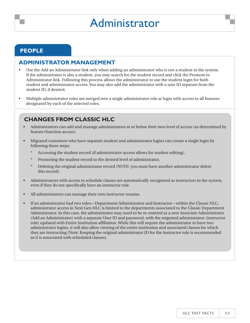#### **people**

#### **ADMINISTRATOR MANAGEMENT**

- Use the Add an Administrator link only when adding an administrator who is not a student in the system. If the administrator is also a student, you may search for the student record and click the Promote to Administrator link. Following this process allows the administrator to use the student login for both student and administrator access. You may also add the administrator with a user ID separate from the student ID, if desired. •
- Multiple administrator roles are merged into a single administrator role at login with access to all features designated by each of the selected roles. •

- Administrators can add and manage administrators at or below their own level of access (as determined by feature/function access). •
- Migrated customers who have separate student and administrator logins can create a single login by following these steps: •
	- Accessing the student record (if administrator access allows for student editing), \*
	- Promoting the student record to the desired level of administrator, \*
	- Deleting the original administrator record (NOTE: you must have another administrator delete this record). \*
- Administrators with access to schedule classes are automatically recognized as instructors in the system, even if they do not specifically have an instructor role. •
- All administrators can manage their own instructor resume. •
- If an administrator had two roles—Department Administrator and Instructor—within the Classic HLC, administrator access in Next Gen HLC is limited to the departments associated to the Classic Department Administrator. In this case, the administrator may need to be re-entered as a new Associate Administrator (Add an Administrator) with a separate User ID and password, with the migrated administrator (instructor role) updated with Entire Institution affiliation. While this will require the administrator to have two administrator logins, it will also allow viewing of the entire institution and associated classes for which they are instructing (Note: Keeping the original administrator ID for the instructor role is recommended as it is associated with scheduled classes). •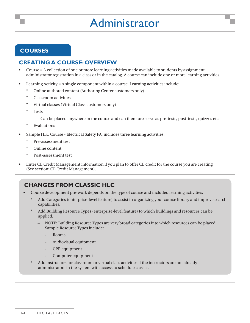#### **courses**

#### **CREATING A COURSE: OVERVIEW**

- Course = A collection of one or more learning activities made available to students by assignment, administrator registration in a class or in the catalog. A course can include one or more learning activities. •
- Learning Activity = A single component within a course. Learning activities include: •
	- Online authored content (Authoring Center customers only) \*
	- Classroom activities \*
	- Virtual classes (Virtual Class customers only) \*
	- Tests \*
		- Can be placed anywhere in the course and can therefore serve as pre-tests, post-tests, quizzes etc. –
	- Evaluations \*
- Sample HLC Course Electrical Safety PA, includes three learning activities: •
	- Pre-assessment test \*
	- Online content \*
	- Post-assessment test \*
- Enter CE Credit Management information if you plan to offer CE credit for the course you are creating (See section: CE Credit Management). •

- Course development pre-work depends on the type of course and included learning activities: •
	- Add Categories (enterprise-level feature) to assist in organizing your course library and improve search capabilities. \*
	- Add Building Resource Types (enterprise-level feature) to which buildings and resources can be applied. \*
		- NOTE: Building Resource Types are very broad categories into which resources can be placed. Sample Resource Types include: –
			- Rooms •
			- Audiovisual equipment •
			- CPR equipment •
			- Computer equipment •
	- Add instructors for classroom or virtual class activities if the instructors are not already administrators in the system with access to schedule classes. \*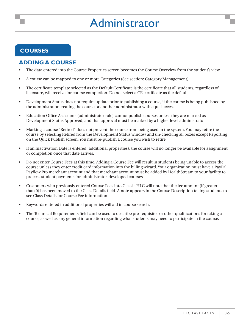#### **courses**

#### **ADDING A COURSE**

- The data entered into the Course Properties screen becomes the Course Overview from the student's view. •
- A course can be mapped to one or more Categories (See section: Category Management). •
- The certificate template selected as the Default Certificate is the certificate that all students, regardless of licensure, will receive for course completion. Do not select a CE certificate as the default. •
- Development Status does not require update prior to publishing a course, if the course is being published by the administrator creating the course or another administrator with equal access. •
- Education Office Assistants (administrator role) cannot publish courses unless they are marked as Development Status Approved, and that approval must be marked by a higher level administrator. •
- Marking a course "Retired" does not prevent the course from being used in the system. You may retire the course by selecting Retired from the Development Status window and un-checking all boxes except Reporting on the Quick Publish screen. You must re-publish a course you wish to retire. •
- If an Inactivation Date is entered (additional properties), the course will no longer be available for assignment or completion once that date arrives. •
- Do not enter Course Fees at this time. Adding a Course Fee will result in students being unable to access the course unless they enter credit card information into the billing wizard. Your organization must have a PayPal Payflow Pro merchant account and that merchant account must be added by HealthStream to your facility to process student payments for administrator-developed courses. •
- Customers who previously entered Course Fees into Classic HLC will note that the fee amount (if greater than 0) has been moved to the Class Details field. A note appears in the Course Description telling students to see Class Details for Course Fee information. •
- Keywords entered in additional properties will aid in course search. •
- The Technical Requirements field can be used to describe pre-requisites or other qualifications for taking a course, as well as any general information regarding what students may need to participate in the course. •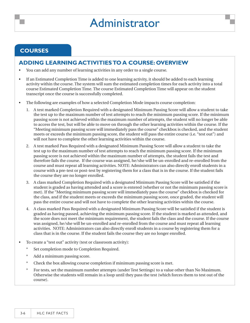#### **courses**

#### **ADDING LEARNING ACTIVITIES TO A COURSE: OVERVIEW**

- You can add any number of learning activities in any order to a single course. •
- If an Estimated Completion Time is added to one learning activity, it should be added to each learning activity within the course. The system will sum the estimated completion times for each activity into a total course Estimated Completion Time. The course Estimated Completion Time will appear on the student transcript once the course is successfully completed. •
- The following are examples of how a selected Completion Mode impacts course completion: •
	- A test marked Completion Required with a designated Minimum Passing Score will allow a student to take 1. the test up to the maximum number of test attempts to reach the minimum passing score. If the minimum passing score is not achieved within the maximum number of attempts, the student will no longer be able to access the test, but will be able to move on through the other learning activities within the course. If the "Meeting minimum passing score will immediately pass the course" checkbox is checked, and the student meets or exceeds the minimum passing score, the student will pass the entire course (i.e. "test out") and will not have to complete the other learning activities within the course.
	- A test marked Pass Required with a designated Minimum Passing Score will allow a student to take the 2. test up to the maximum number of test attempts to reach the minimum passing score. If the minimum passing score is not achieved within the maximum number of attempts, the student fails the test and therefore fails the course. If the course was assigned, he/she will be un-enrolled and re-enrolled from the course and must repeat all learning activities. NOTE: Administrators can also directly enroll students in a course with a pre-test or post-test by registering them for a class that is in the course. If the student fails the course they are no longer enrolled.
	- A class marked Completion Required with a designated Minimum Passing Score will be satisfied if the 3. student is graded as having attended and a score is entered (whether or not the minimum passing score is met). If the "Meeting minimum passing score will immediately pass the course" checkbox is checked for the class, and if the student meets or exceeds the minimum passing score, once graded, the student will pass the entire course and will not have to complete the other learning activities within the course.
	- A class marked Pass Required with a designated Minimum Passing Score will be satisfied if the student is 4. graded as having passed, achieving the minimum passing score. If the student is marked as attended, and the score does not meet the minimum requirement, the student fails the class and the course. If the course was assigned, he/she will be un-enrolled and re-enrolled from the course and must repeat all learning activities. NOTE: Administrators can also directly enroll students in a course by registering them for a class that is in the course. If the student fails the course they are no longer enrolled.
- To create a "test out" activity (test or classroom activity): •
	- Set completion mode to Completion Required. \*
	- Add a minimum passing score. \*
	- Check the box allowing course completion if minimum passing score is met. \*
	- For tests, set the maximum number attempts (under Test Settings) to a value other than No Maximum. Otherwise the students will remain in a loop until they pass the test (which forces them to test out of the course). \*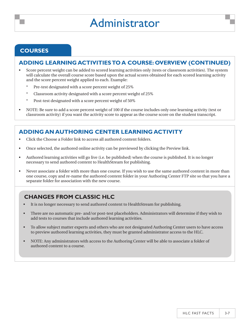#### **courses**

#### **ADDING LEARNING ACTIVITIES TO A COURSE: OVERVIEW (continued)**

- Score percent weight can be added to scored learning activities only (tests or classroom activities). The system will calculate the overall course score based upon the actual scores obtained for each scored learning activity and the score percent weight applied to each. Example: •
	- Pre-test designated with a score percent weight of 25% \*
	- Classroom activity designated with a score percent weight of 25% \*
	- Post-test designated with a score percent weight of 50% \*
- NOTE: Be sure to add a score percent weight of 100 if the course includes only one learning activity (test or classroom activity) if you want the activity score to appear as the course score on the student transcript. •

#### **ADDING AN AUTHORING CENTER LEARNING ACTIVITY**

- Click the Choose a Folder link to access all authored content folders. •
- Once selected, the authored online activity can be previewed by clicking the Preview link. •
- Authored learning activities will go live (i.e. be published) when the course is published. It is no longer necessary to send authored content to HealthStream for publishing. •
- Never associate a folder with more than one course. If you wish to use the same authored content in more than one course, copy and re-name the authored content folder in your Authoring Center FTP site so that you have a separate folder for association with the new course. •

- It is no longer necessary to send authored content to HealthStream for publishing. •
- There are no automatic pre- and/or post-test placeholders. Administrators will determine if they wish to add tests to courses that include authored learning activities. •
- To allow subject matter experts and others who are not designated Authoring Center users to have access to preview authored learning activities, they must be granted administrator access to the HLC. •
- NOTE: Any administrators with access to the Authoring Center will be able to associate a folder of authored content to a course. •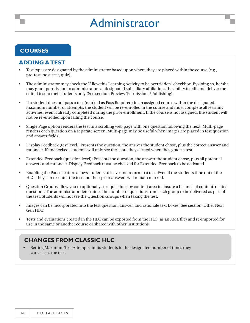#### **courses**

#### **ADDING A TEST**

- Test types are designated by the administrator based upon where they are placed within the course (e.g., pre-test, post-test, quiz). •
- The administrator may check the "Allow this Learning Activity to be overridden" checkbox. By doing so, he/she may grant permission to administrators at designated subsidiary affiliations the ability to edit and deliver the edited test to their students only (See section: Preview/Permissions/Publishing). •
- If a student does not pass a test (marked as Pass Required) in an assigned course within the designated maximum number of attempts, the student will be re-enrolled in the course and must complete all learning activities, even if already completed during the prior enrollment. If the course is not assigned, the student will not be re-enrolled upon failing the course. •
- Single Page option renders the test in a scrolling web page with one question following the next. Multi-page renders each question on a separate screen. Multi-page may be useful when images are placed in test question and answer fields. •
- Display Feedback (test level): Presents the question, the answer the student chose, plus the correct answer and rationale. If unchecked, students will only see the score they earned when they grade a test. •
- Extended Feedback (question level): Presents the question, the answer the student chose, plus all potential answers and rationale. Display Feedback must be checked for Extended Feedback to be activated. •
- Enabling the Pause feature allows students to leave and return to a test. Even if the students time out of the HLC, they can re-enter the test and their prior answers will remain marked. •
- Question Groups allow you to optionally sort questions by content area to ensure a balance of content-related questions. The administrator determines the number of questions from each group to be delivered as part of the test. Students will not see the Question Groups when taking the test. •
- Images can be incorporated into the test question, answer, and rationale text boxes (See section: Other Next Gen HLC) •
- Tests and evaluations created in the HLC can be exported from the HLC (as an XML file) and re-imported for use in the same or another course or shared with other institutions. •

#### **Changes from Classic HLC**

Setting Maximum Test Attempts limits students to the designated number of times they can access the test. •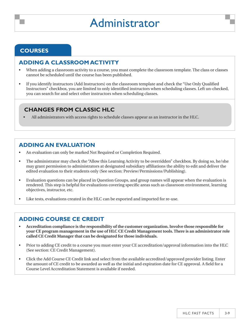#### **courses**

#### **ADDING A CLASSROOM ACTIVITY**

- When adding a classroom activity to a course, you must complete the classroom template. The class or classes cannot be scheduled until the course has been published. •
- If you identify instructors (Add Instructors) on the classroom template and check the "Use Only Qualified Instructors" checkbox, you are limited to only identified instructors when scheduling classes. Left un-checked, you can search for and select other instructors when scheduling classes. •

#### **Changes from Classic HLC**

• All administrators with access rights to schedule classes appear as an instructor in the HLC.

#### **ADDING AN EVALUATION**

- An evaluation can only be marked Not Required or Completion Required. •
- The administrator may check the "Allow this Learning Activity to be overridden" checkbox. By doing so, he/she may grant permission to administrators at designated subsidiary affiliations the ability to edit and deliver the edited evaluation to their students only (See section: Preview/Permissions/Publishing). •
- Evaluation questions can be placed in Question Groups, and group names will appear when the evaluation is rendered. This step is helpful for evaluations covering specific areas such as classroom environment, learning objectives, instructor, etc. •
- Like tests, evaluations created in the HLC can be exported and imported for re-use. •

#### **ADDING COURSE CE CREDIT**

- **Accreditation compliance is the responsibility of the customer organization. Involve those responsible for your CE program management in the use of HLC CE Credit Management tools. There is an administrator role called CE Credit Manager that can be designated for those individuals.**  •
- Prior to adding CE credit to a course you must enter your CE accreditation/approval information into the HLC (See section: CE Credit Management). •
- Click the Add Course CE Credit link and select from the available accredited/approved provider listing. Enter the amount of CE credit to be awarded as well as the initial and expiration date for CE approval. A field for a Course Level Accreditation Statement is available if needed. •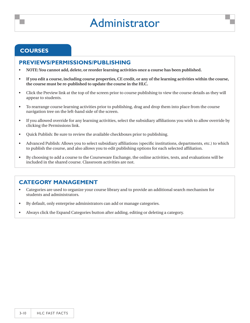#### **courses**

#### **PREVIEWS/PERMISSIONS/PUBLISHING**

- **NOTE: You cannot add, delete, or reorder learning activities once a course has been published.** •
- **If you edit a course, including course properties, CE credit, or any of the learning activities within the course, the course must be re-published to update the course in the HLC.** •
- Click the Preview link at the top of the screen prior to course publishing to view the course details as they will appear to students. •
- To rearrange course learning activities prior to publishing, drag and drop them into place from the course navigation tree on the left-hand side of the screen. •
- If you allowed override for any learning activities, select the subsidiary affiliations you wish to allow override by clicking the Permissions link. •
- Quick Publish: Be sure to review the available checkboxes prior to publishing. •
- Advanced Publish: Allows you to select subsidiary affiliations (specific institutions, departments, etc.) to which to publish the course, and also allows you to edit publishing options for each selected affiliation. •
- By choosing to add a course to the Courseware Exchange, the online activities, tests, and evaluations will be included in the shared course. Classroom activities are not. •

#### **CATEGORY MANAGEMENT**

- Categories are used to organize your course library and to provide an additional search mechanism for students and administrators. •
- By default, only enterprise administrators can add or manage categories. •
- Always click the Expand Categories button after adding, editing or deleting a category. •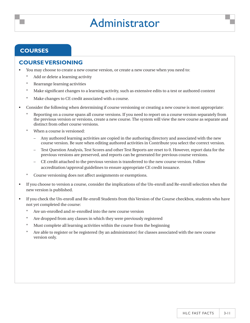#### **courses**

#### **COURSE VERSIONING**

- You may choose to create a new course version, or create a new course when you need to: •
	- Add or delete a learning activity \*
	- Rearrange learning activities \*
	- Make significant changes to a learning activity, such as extensive edits to a test or authored content \*
	- Make changes to CE credit associated with a course. \*
- Consider the following when determining if course versioning or creating a new course is most appropriate: •
	- Reporting on a course spans all course versions. If you need to report on a course version separately from the previous version or versions, create a new course. The system will view the new course as separate and distinct from other course versions. \*
	- When a course is versioned: \*
		- Any authored learning activities are copied in the authoring directory and associated with the new course version. Be sure when editing authored activities in Contribute you select the correct version. –
		- Test Question Analysis, Test Scores and other Test Reports are reset to 0. However, report data for the previous versions are preserved, and reports can be generated for previous course versions. –
		- CE credit attached to the previous version is transferred to the new course version. Follow accreditation/approval guidelines to ensure appropriate CE credit issuance. –
	- Course versioning does not affect assignments or exemptions. \*
- If you choose to version a course, consider the implications of the Un-enroll and Re-enroll selection when the new version is published. •
- If you check the Un-enroll and Re-enroll Students from this Version of the Course checkbox, students who have not yet completed the course: •
	- Are un-enrolled and re-enrolled into the new course version \*
	- Are dropped from any classes in which they were previously registered \*
	- Must complete all learning activities within the course from the beginning \*
	- Are able to register or be registered (by an administrator) for classes associated with the new course version only. \*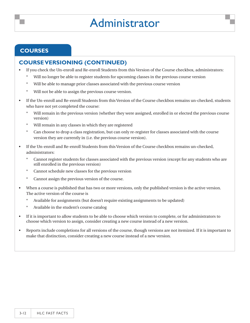#### **courses**

#### **COURSE VERSIONING (continued)**

- If you check the Un-enroll and Re-enroll Students from this Version of the Course checkbox, administrators: •
	- Will no longer be able to register students for upcoming classes in the previous course version \*
	- Will be able to manage prior classes associated with the previous course version \*
	- Will not be able to assign the previous course version. \*
- If the Un-enroll and Re-enroll Students from this Version of the Course checkbox remains un-checked, students who have not yet completed the course: •
	- Will remain in the previous version (whether they were assigned, enrolled in or elected the previous course version) \*
	- Will remain in any classes in which they are registered \*
	- Can choose to drop a class registration, but can only re-register for classes associated with the course version they are currently in (i.e. the previous course version). \*
- If the Un-enroll and Re-enroll Students from this Version of the Course checkbox remains un-checked, administrators: •
	- Cannot register students for classes associated with the previous version (except for any students who are still enrolled in the previous version) \*
	- Cannot schedule new classes for the previous version \*
	- Cannot assign the previous version of the course. \*
- When a course is published that has two or more versions, only the published version is the active version. The active version of the course is •
	- Available for assignments (but doesn't require existing assignments to be updated) \*
	- Available in the student's course catalog \*
- If it is important to allow students to be able to choose which version to complete, or for administrators to choose which version to assign, consider creating a new course instead of a new version. •
- Reports include completions for all versions of the course, though versions are not itemized. If it is important to make that distinction, consider creating a new course instead of a new version. •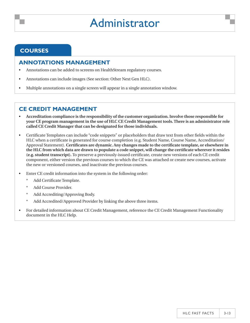#### **courses**

#### **ANNOTATIONS MANAGEMENT**

- Annotations can be added to screens on HealthStream regulatory courses. •
- Annotations can include images (See section: Other Next Gen HLC). •
- Multiple annotations on a single screen will appear in a single annotation window. •

#### **CE CREDIT MANAGEMENT**

- **Accreditation compliance is the responsibility of the customer organization. Involve those responsible for your CE program management in the use of HLC CE Credit Management tools. There is an administrator role called CE Credit Manager that can be designated for those individuals.** •
- Certificate Templates can include "code snippets" or placeholders that draw text from other fields within the HLC when a certificate is generated for course completion (e.g. Student Name, Course Name, Accreditation/ Approval Statement). **Certificates are dynamic. Any changes made to the certificate template, or elsewhere in the HLC from which data are drawn to populate a code snippet, will change the certificate wherever it resides (e.g. student transcript).** To preserve a previously-issued certificate, create new versions of each CE credit component, either version the previous courses to which the CE was attached or create new courses, activate the new or versioned courses, and inactivate the previous courses. •
- Enter CE credit information into the system in the following order: •
	- Add Certificate Template. \*
	- Add Course Provider. \*
	- Add Accrediting/Approving Body. \*
	- Add Accredited/Approved Provider by linking the above three items. \*
- For detailed information about CE Credit Management, reference the CE Credit Management Functionality document in the HLC Help. •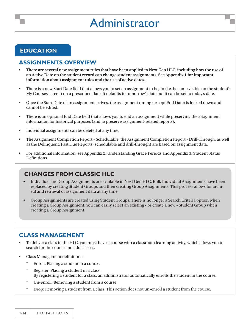#### **education**

#### **ASSIGNMENTS OVERVIEW**

- **There are several new assignment rules that have been applied to Next Gen HLC, including how the use of an Active Date on the student record can change student assignments. See Appendix 1 for important information about assignment rules and the use of active dates.**  •
- There is a new Start Date field that allows you to set an assignment to begin (i.e. become visible on the student's My Courses screen) on a prescribed date. It defaults to tomorrow's date but it can be set to today's date. •
- Once the Start Date of an assignment arrives, the assignment timing (except End Date) is locked down and cannot be edited. •
- There is an optional End Date field that allows you to end an assignment while preserving the assignment information for historical purposes (and to preserve assignment-related reports). •
- Individual assignments can be deleted at any time. •
- The Assignment Completion Report Schedulable, the Assignment Completion Report Drill-Through, as well as the Delinquent/Past Due Reports (schedulable and drill-through) are based on assignment data. •
- For additional information, see Appendix 2: Understanding Grace Periods and Appendix 3: Student Status Definitions. •

#### **Changes from Classic HLC**

- Individual and Group Assignments are available in Next Gen HLC. Bulk Individual Assignments have been replaced by creating Student Groups and then creating Group Assignments. This process allows for archival and retrieval of assignment data at any time. •
- Group Assignments are created using Student Groups. There is no longer a Search Criteria option when creating a Group Assignment. You can easily select an existing - or create a new - Student Group when creating a Group Assignment. •

#### **CLASS MANAGEMENT**

- To deliver a class in the HLC, you must have a course with a classroom learning activity, which allows you to search for the course and add classes. •
- Class Management definitions: •
	- Enroll: Placing a student in a course. \*
	- Register: Placing a student in a class. By registering a student for a class, an administrator automatically enrolls the student in the course. \*
	- Un-enroll: Removing a student from a course. \*
	- Drop: Removing a student from a class. This action does not un-enroll a student from the course. \*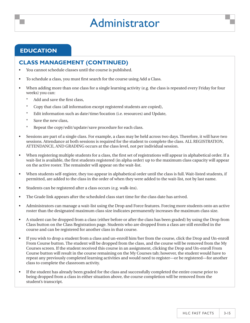#### **education**

#### **CLASS MANAGEMENT (continued)**

- You cannot schedule classes until the course is published. •
- To schedule a class, you must first search for the course using Add a Class. •
- When adding more than one class for a single learning activity (e.g. the class is repeated every Friday for four weeks) you can: •
	- Add and save the first class, \*
	- Copy that class (all information except registered students are copied), \*
	- Edit information such as date/time/location (i.e. resources) and Update, \*
	- Save the new class, \*
	- Repeat the copy/edit/update/save procedure for each class. \*
- Sessions are part of a single class. For example, a class may be held across two days. Therefore, it will have two sessions. Attendance at both sessions is required for the student to complete the class. ALL REGISTRATION, ATTENDANCE, AND GRADING occurs at the class level, not per individual session. •
- When registering multiple students for a class, the first set of registrations will appear in alphabetical order. If a wait-list is available, the first students registered (in alpha order) up to the maximum class capacity will appear on the active roster. The remainder will appear on the wait-list. •
- When students self-register, they too appear in alphabetical order until the class is full. Wait-listed students, if permitted, are added to the class in the order of when they were added to the wait-list, not by last name. •
- Students can be registered after a class occurs (e.g. walk-ins). •
- The Grade link appears after the scheduled class start time for the class date has arrived. •
- Administrators can manage a wait-list using the Drop and Force features. Forcing more students onto an active roster than the designated maximum class size indicates permanently increases the maximum class size. •
- A student can be dropped from a class (either before or after the class has been graded) by using the Drop from Class button on the Class Registration page. Students who are dropped from a class are still enrolled in the course and can be registered for another class in that course. •
- If you wish to drop a student from a class and un-enroll him/her from the course, click the Drop and Un-enroll From Course button. The student will be dropped from the class, and the course will be removed from the My Courses screen. If the student received this course in an assignment, clicking the Drop and Un-enroll From Course button will result in the course remaining on the My Courses tab; however, the student would have to repeat any previously completed learning activities and would need to register—or be registered—for another class to complete the classroom activity. •
- If the student has already been graded for the class and successfully completed the entire course prior to being dropped from a class in either situation above, the course completion will be removed from the student's transcript. •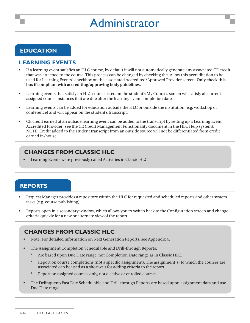#### **education**

#### **LEARNING EVENTS**

- If a learning event satisfies an HLC course, by default it will not automatically generate any associated CE credit that was attached to the course. This process can be changed by checking the "Allow this accreditation to be used for Learning Events" checkbox on the associated Accredited/Approved Provider screen. **Only check this box if compliant with accrediting/approving body guidelines.** •
- Learning events that satisfy an HLC course listed on the student's My Courses screen will satisfy all current assigned course instances that are due after the learning event completion date. •
- Learning events can be added for education outside the HLC or outside the institution (e.g. workshop or conference) and will appear on the student's transcript. •
- CE credit earned at an outside learning event can be added to the transcript by setting up a Learning Event Accredited Provider (see the CE Credit Management Functionality document in the HLC Help system). NOTE: Credit added to the student transcript from an outside source will not be differentiated from credit earned in-house. •

#### **Changes from Classic HLC**

• Learning Events were previously called Activities in Classic HLC.

#### **reports**

- Request Manager provides a repository within the HLC for requested and scheduled reports and other system tasks (e.g. course publishing). •
- Reports open in a secondary window, which allows you to switch back to the Configuration screen and change criteria quickly for a new or alternate view of the report. •

- Note: For detailed information on Next Generation Reports, see Appendix 4. •
- The Assignment Completion Schedulable and Drill-through Reports: •
	- Are based upon Due Date range, not Completion Date range as in Classic HLC. \*
	- Report on course completions (not a specific assignment). The assignment(s) to which the courses are associated can be used as a short-cut for adding criteria to the report. \*
	- Report on assigned courses only, not elective or enrolled courses. \*
- The Delinquent/Past Due Schedulable and Drill-through Reports are based upon assignment data and use Due Date range. •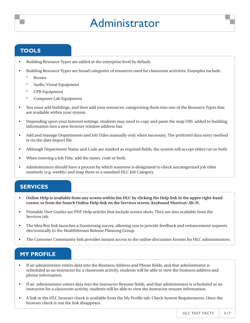#### **tools**

- Building Resource Types are added at the enterprise level by default. •
- Building Resource Types are broad categories of resources used for classroom activities. Examples include: •
	- Rooms \*
	- Audio-Visual Equipment \*
	- CPR Equipment \*
	- Computer Lab Equipment \*
- You must add buildings, and then add your resources, categorizing them into one of the Resource Types that are available within your system. •
- Depending upon your Internet settings, students may need to copy and paste the map URL added to building information into a new browser window address bar. •
- Add and manage Departments and Job Titles manually only when necessary. The preferred data entry method is via the data import file. •
- Although Department Name and Code are marked as required fields, the system will accept either/or/or both. •
- When entering a Job Title, add the name, code or both. •
- Administrators should have a process by which someone is designated to check uncategorized job titles routinely (e.g. weekly) and map them to a standard HLC Job Category. •

#### **services**

- **Online Help is available from any screen within the HLC by clicking the Help link in the upper right-hand corner, or from the Search Online Help link on the Services screen. Keyboard Shortcut: Alt-H.** •
- Printable User Guides are PDF Help articles that include screen shots. They are also available from the Services tab. •
- The Idea Box link launches a Zoomerang survey, allowing you to provide feedback and enhancement requests electronically to the HealthStream Release Planning Group. •
- The Customer Community link provides instant access to the online discussion forums for HLC administrators. •

#### **My Profile**

- If an administrator enters data into the Business Address and Phone fields, and that administrator is scheduled as an instructor for a classroom activity, students will be able to view the business address and phone information. •
- If an administrator enters data into the Instructor Resume fields, and that administrator is scheduled as an instructor for a classroom activity, students will be able to view the instructor resume information. •
- A link to the HLC browser check is available from the My Profile tab: Check System Requirements. Once the browser check is run the link disappears. •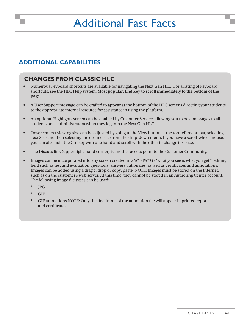### Additional Fast Facts

#### **additional capabilities**

- Numerous keyboard shortcuts are available for navigating the Next Gen HLC. For a listing of keyboard shortcuts, see the HLC Help system. **Most popular: End Key to scroll immediately to the bottom of the page.** •
- A User Support message can be crafted to appear at the bottom of the HLC screens directing your students to the appropriate internal resource for assistance in using the platform. •
- An optional Highlights screen can be enabled by Customer Service, allowing you to post messages to all students or all administrators when they log into the Next Gen HLC. •
- Onscreen text viewing size can be adjusted by going to the View button at the top-left menu bar, selecting Text Size and then selecting the desired size from the drop-down menu. If you have a scroll-wheel mouse, you can also hold the Ctrl key with one hand and scroll with the other to change text size. •
- The Discuss link (upper right-hand corner) is another access point to the Customer Community. •
- Images can be incorporated into any screen created in a WYSIWYG ("what you see is what you get") editing field such as test and evaluation questions, answers, rationales, as well as certificates and annotations. Images can be added using a drag & drop or copy/paste. NOTE: Images must be stored on the Internet, such as on the customer's web server. At this time, they cannot be stored in an Authoring Center account. The following image file types can be used: •
	- JPG \*
	- **GIF** \*
	- GIF animations NOTE: Only the first frame of the animation file will appear in printed reports and certificates. \*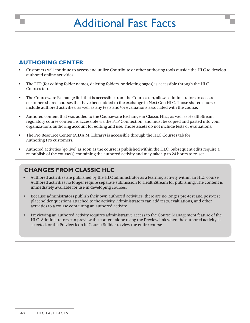### Additional Fast Facts

#### **authoring center**

- Customers will continue to access and utilize Contribute or other authoring tools outside the HLC to develop authored online activities. •
- The FTP (for editing folder names, deleting folders, or deleting pages) is accessible through the HLC Courses tab. •
- The Courseware Exchange link that is accessible from the Courses tab, allows administrators to access customer-shared courses that have been added to the exchange in Next Gen HLC. Those shared courses include authored activities, as well as any tests and/or evaluations associated with the course. •
- Authored content that was added to the Courseware Exchange in Classic HLC, as well as HealthStream regulatory course content, is accessible via the FTP Connection, and must be copied and pasted into your organization's authoring account for editing and use. Those assets do not include tests or evaluations. •
- The Pro Resource Center (A.D.A.M. Library) is accessible through the HLC Courses tab for Authoring Pro customers. •
- Authored activities "go live" as soon as the course is published within the HLC. Subsequent edits require a re-publish of the course(s) containing the authored activity and may take up to 24 hours to re-set. •

- Authored activities are published by the HLC administrator as a learning activity within an HLC course. Authored activities no longer require separate submission to HealthStream for publishing. The content is immediately available for use in developing courses. •
- Because administrators publish their own authored activities, there are no longer pre-test and post-test placeholder questions attached to the activity. Administrators can add tests, evaluations, and other activities to a course containing an authored activity. •
- Previewing an authored activity requires administrative access to the Course Management feature of the HLC. Administrators can preview the content alone using the Preview link when the authored activity is selected, or the Preview icon in Course Builder to view the entire course. •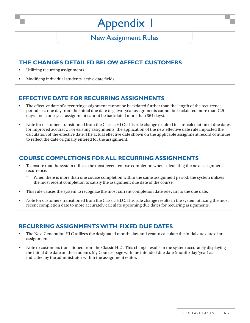#### New Assignment Rules

#### **The changes detailed belowaffect customers**

- Utilizing recurring assignments •
- Modifying individual students' active date fields •

#### **Effective Date for Recurring Assignments**

- The effective date of a recurring assignment cannot be backdated further than the length of the recurrence period less one day from the initial due date (e.g. two-year assignments cannot be backdated more than 729 days, and a one-year assignment cannot be backdated more than 364 days). •
- Note for customers transitioned from the Classic HLC: This rule change resulted in a re-calculation of due dates for improved accuracy. For existing assignments, the application of the new effective date rule impacted the calculation of the effective date. The actual effective date shown on the applicable assignment record continues to reflect the date originally entered for the assignment. •

#### **Course Completions for All Recurring Assignments**

- To ensure that the system utilizes the most recent course completion when calculating the next assignment recurrence: •
	- When there is more than one course completion within the same assignment period, the system utilizes the most recent completion to satisfy the assignment due date of the course. \*
- This rule causes the system to recognize the most current completion date relevant to the due date. •
- Note for customers transitioned from the Classic HLC: This rule change results in the system utilizing the most recent completion date to more accurately calculate upcoming due dates for recurring assignments. •

#### **Recurring Assignmentswith Fixed Due Dates**

- The Next Generation HLC utilizes the designated month, day, and year to calculate the initial due date of an assignment. •
- Note to customers transitioned from the Classic HLC: This change results in the system accurately displaying the initial due date on the student's My Courses page with the intended due date (month/day/year) as indicated by the administrator within the assignment editor. •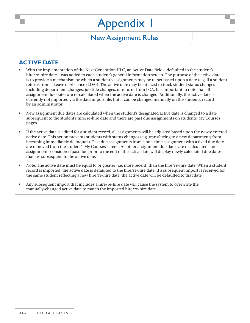#### New Assignment Rules

#### **Active Date**

- With the implementation of the Next Generation HLC, an Active Date field—defaulted to the student's hire/re-hire date—was added to each student's general information screen. The purpose of the active date is to provide a mechanism by which a student's assignments may be re-set based upon a date (e.g. if a student returns from a Leave of Absence (LOA)). The active date may be utilized to track student status changes including department changes, job title changes, or returns from LOA. It is important to note that all assignment due dates are re-calculated when the active date is changed. Additionally, the active date is currently not imported via the data import file, but it can be changed manually on the student's record by an administrator. •
- New assignment due dates are calculated when the student's designated active date is changed to a date subsequent to the student's hire/re-hire date and there are past due assignments on students' My Courses pages. •
- If the active date is edited for a student record, all assignments will be adjusted based upon the newly entered active date. This action prevents students with status changes (e.g. transferring to a new department) from becoming immediately delinquent. Past due assignments from a one-time assignment with a fixed due date are removed from the student's My Courses screen. All other assignment due dates are recalculated, and assignments considered past due prior to the edit of the active date will display newly calculated due dates that are subsequent to the active date. •
- Note: The active date must be equal to or greater (i.e. more recent) than the hire/re-hire date. When a student record is imported, the active date is defaulted to the hire/re-hire date. If a subsequent import is received for the same student reflecting a new hire/re-hire date, the active date will be defaulted to that date. •
- Any subsequent import that includes a hire/re-hire date will cause the system to overwrite the manually-changed active date to match the imported hire/re-hire date. •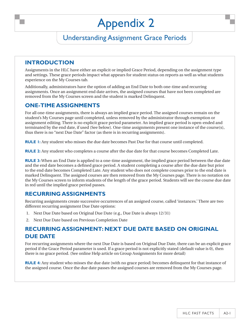### Understanding Assignment Grace Periods

#### **Introduction**

Assignments in the HLC have either an explicit or implied Grace Period, depending on the assignment type and settings. These grace periods impact what appears for student status on reports as well as what students experience on the My Courses tab.

Additionally, administrators have the option of adding an End Date to both one-time and recurring assignments. Once an assignment end date arrives, the assigned courses that have not been completed are removed from the My Courses screen and the student is marked Delinquent.

#### **One-Time Assignments**

For all one-time assignments, there is always an implied grace period. The assigned courses remain on the student's My Courses page until completed, unless removed by the administrator through exemption or assignment editing. There is no explicit grace period parameter. An implied grace period is open-ended and terminated by the end date, if used (See below). One-time assignments present one instance of the course(s), thus there is no "next Due Date" factor (as there is in recurring assignments).

**Rule 1:** Any student who misses the due date becomes Past Due for that course until completed.

**Rule 2:** Any student who completes a course after the due date for that course becomes Completed Late.

**RULE 3:** When an End Date is applied to a one-time assignment, the implied grace period between the due date and the end date becomes a defined grace period. A student completing a course after the due date but prior to the end date becomes Completed Late. Any student who does not complete courses prior to the end date is marked Delinquent. The assigned courses are then removed from the My Courses page. There is no notation on the My Courses screen to inform students of the length of the grace period. Students will see the course due date in red until the implied grace period passes.

#### **Recurring Assignments**

Recurring assignments create successive occurrences of an assigned course, called 'instances.' There are two different recurring assignment Due Date options:

- Next Due Date based on Original Due Date (e.g., Due Date is always 12/31) 1.
- Next Due Date based on Previous Completion Date 2.

#### **Recurring Assignment: Next Due Date Based on Original DUE** DATE

For recurring assignments where the next Due Date is based on Original Due Date, there can be an explicit grace period if the Grace Period parameter is used. If a grace period is not explicitly stated (default value is 0), then there is no grace period. (See online Help article on Group Assignments for more detail)

**Rule 4:** Any student who misses the due date (with no grace period) becomes delinquent for that instance of the assigned course. Once the due date passes the assigned courses are removed from the My Courses page.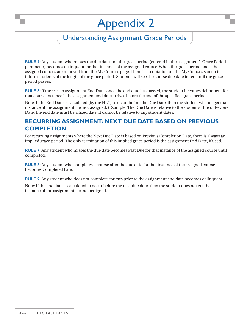### Understanding Assignment Grace Periods

**Rule 5:** Any student who misses the due date and the grace period (entered in the assignment's Grace Period parameter) becomes delinquent for that instance of the assigned course. When the grace period ends, the assigned courses are removed from the My Courses page. There is no notation on the My Courses screen to inform students of the length of the grace period. Students will see the course due date in red until the grace period passes.

**Rule 6:** If there is an assignment End Date, once the end date has passed, the student becomes delinquent for that course instance if the assignment end date arrives before the end of the specified grace period.

Note: If the End Date is calculated (by the HLC) to occur before the Due Date, then the student will not get that instance of the assignment, i.e. not assigned. (Example: The Due Date is relative to the student's Hire or Review Date; the end date must be a fixed date. It cannot be relative to any student dates.)

#### **Recurring Assignment: Next Due Date Based on Previous Completion**

For recurring assignments where the Next Due Date is based on Previous Completion Date, there is always an implied grace period. The only termination of this implied grace period is the assignment End Date, if used.

**Rule 7:** Any student who misses the due date becomes Past Due for that instance of the assigned course until completed.

**RULE 8:** Any student who completes a course after the due date for that instance of the assigned course becomes Completed Late.

**Rule 9:** Any student who does not complete courses prior to the assignment end date becomes delinquent.

Note: If the end date is calculated to occur before the next due date, then the student does not get that instance of the assignment, i.e. not assigned.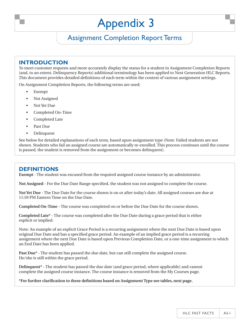### Assignment Completion Report Terms

#### **Introduction**

To meet customer requests and more accurately display the status for a student in Assignment Completion Reports (and, to an extent, Delinquency Reports) additional terminology has been applied to Next Generation HLC Reports. This document provides detailed definitions of each term within the context of various assignment settings.

On Assignment Completion Reports, the following terms are used:

- Exempt •
- Not Assigned •
- Not Yet Due •
- Completed On-Time •
- Completed Late •
- Past Due •
- Delinquent •

See below for detailed explanations of each term, based upon assignment type (Note: Failed students are not shown. Students who fail an assigned course are automatically re-enrolled. This process continues until the course is passed, the student is removed from the assignment or becomes delinquent).

#### **definitions**

**Exempt** - The student was excused from the required assigned course instance by an administrator.

**Not Assigned** - For the Due Date Range specified, the student was not assigned to complete the course.

**Not Yet Due** - The Due Date for the course shown is on or after today's date. All assigned courses are due at 11:59 PM Eastern Time on the Due Date.

**Completed On-Time** - The course was completed on or before the Due Date for the course shown.

**Completed Late\*** - The course was completed after the Due Date during a grace period that is either explicit or implied.

Note: An example of an explicit Grace Period is a recurring assignment where the next Due Date is based upon original Due Date and has a specified grace period. An example of an implied grace period is a recurring assignment where the next Due Date is based upon Previous Completion Date, or a one-time assignment to which an End Date has been applied.

**Past Due\*** - The student has passed the due date, but can still complete the assigned course. He/she is still within the grace period.

**Delinquent\*** - The student has passed the due date (and grace period, where applicable) and cannot complete the assigned course instance. The course instance is removed from the My Courses page.

**\*For further clarification to these definitions based on Assignment Type see tables, next page.**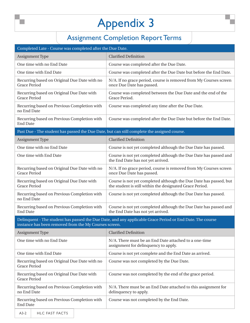### Assignment Completion Report Terms

| <b>Clarified Definition</b><br>Assignment Type<br>One time with no End Date<br>Course was completed after the Due Date.<br>One time with End Date<br>Course was completed after the Due Date but before the End Date.<br>N/A. If no grace period, course is removed from My Courses screen<br>Recurring based on Original Due Date with no<br><b>Grace Period</b><br>once Due Date has passed.<br>Course was completed between the Due Date and the end of the<br>Recurring based on Original Due Date with<br><b>Grace Period</b><br>Grace Period.<br>Recurring based on Previous Completion with<br>Course was completed any time after the Due Date.<br>no End Date<br>Recurring based on Previous Completion with<br>Course was completed after the Due Date but before the End Date.<br><b>End Date</b><br>Past Due - The student has passed the Due Date, but can still complete the assigned course.<br><b>Clarified Definition</b><br>Assignment Type<br>One time with no End Date<br>Course is not yet completed although the Due Date has passed.<br>One time with End Date<br>Course is not yet completed although the Due Date has passed and<br>the End Date has not yet arrived.<br>Recurring based on Original Due Date with no<br>N/A. If no grace period, course is removed from My Courses screen<br><b>Grace Period</b><br>once Due Date has passed.<br>Course is not yet completed although the Due Date has passed, but<br>Recurring based on Original Due Date with<br><b>Grace Period</b><br>the student is still within the designated Grace Period.<br>Recurring based on Previous Completion with<br>Course is not yet completed although the Due Date has passed.<br>no End Date<br>Recurring based on Previous Completion with<br>Course is not yet completed although the Due Date has passed and<br>the End Date has not yet arrived.<br><b>End Date</b><br>Delinquent - The student has passed the Due Date, and any applicable Grace Period or End Date. The course<br>instance has been removed from the My Courses screen.<br><b>Clarified Definition</b><br>Assignment Type<br>One time with no End Date<br>N/A. There must be an End Date attached to a one-time<br>assignment for delinquency to apply.<br>One time with End Date<br>Course is not yet complete and the End Date as arrived.<br>Recurring based on Original Due Date with no<br>Course was not completed by the Due Date.<br>Grace Period<br>Course was not completed by the end of the grace period.<br>Recurring based on Original Due Date with<br><b>Grace Period</b><br>Recurring based on Previous Completion with<br>N/A. There must be an End Date attached to this assignment for<br>no End Date<br>delinquency to apply. | Completed Late - Course was completed after the Due Date. |                                           |  |  |  |
|-----------------------------------------------------------------------------------------------------------------------------------------------------------------------------------------------------------------------------------------------------------------------------------------------------------------------------------------------------------------------------------------------------------------------------------------------------------------------------------------------------------------------------------------------------------------------------------------------------------------------------------------------------------------------------------------------------------------------------------------------------------------------------------------------------------------------------------------------------------------------------------------------------------------------------------------------------------------------------------------------------------------------------------------------------------------------------------------------------------------------------------------------------------------------------------------------------------------------------------------------------------------------------------------------------------------------------------------------------------------------------------------------------------------------------------------------------------------------------------------------------------------------------------------------------------------------------------------------------------------------------------------------------------------------------------------------------------------------------------------------------------------------------------------------------------------------------------------------------------------------------------------------------------------------------------------------------------------------------------------------------------------------------------------------------------------------------------------------------------------------------------------------------------------------------------------------------------------------------------------------------------------------------------------------------------------------------------------------------------------------------------------------------------------------------------------------------------------------------------------------------------------------------------------------------------------------------------------------------------------------------------------------------------------------------------------------------------------------------------------|-----------------------------------------------------------|-------------------------------------------|--|--|--|
|                                                                                                                                                                                                                                                                                                                                                                                                                                                                                                                                                                                                                                                                                                                                                                                                                                                                                                                                                                                                                                                                                                                                                                                                                                                                                                                                                                                                                                                                                                                                                                                                                                                                                                                                                                                                                                                                                                                                                                                                                                                                                                                                                                                                                                                                                                                                                                                                                                                                                                                                                                                                                                                                                                                                         |                                                           |                                           |  |  |  |
|                                                                                                                                                                                                                                                                                                                                                                                                                                                                                                                                                                                                                                                                                                                                                                                                                                                                                                                                                                                                                                                                                                                                                                                                                                                                                                                                                                                                                                                                                                                                                                                                                                                                                                                                                                                                                                                                                                                                                                                                                                                                                                                                                                                                                                                                                                                                                                                                                                                                                                                                                                                                                                                                                                                                         |                                                           |                                           |  |  |  |
|                                                                                                                                                                                                                                                                                                                                                                                                                                                                                                                                                                                                                                                                                                                                                                                                                                                                                                                                                                                                                                                                                                                                                                                                                                                                                                                                                                                                                                                                                                                                                                                                                                                                                                                                                                                                                                                                                                                                                                                                                                                                                                                                                                                                                                                                                                                                                                                                                                                                                                                                                                                                                                                                                                                                         |                                                           |                                           |  |  |  |
|                                                                                                                                                                                                                                                                                                                                                                                                                                                                                                                                                                                                                                                                                                                                                                                                                                                                                                                                                                                                                                                                                                                                                                                                                                                                                                                                                                                                                                                                                                                                                                                                                                                                                                                                                                                                                                                                                                                                                                                                                                                                                                                                                                                                                                                                                                                                                                                                                                                                                                                                                                                                                                                                                                                                         |                                                           |                                           |  |  |  |
|                                                                                                                                                                                                                                                                                                                                                                                                                                                                                                                                                                                                                                                                                                                                                                                                                                                                                                                                                                                                                                                                                                                                                                                                                                                                                                                                                                                                                                                                                                                                                                                                                                                                                                                                                                                                                                                                                                                                                                                                                                                                                                                                                                                                                                                                                                                                                                                                                                                                                                                                                                                                                                                                                                                                         |                                                           |                                           |  |  |  |
|                                                                                                                                                                                                                                                                                                                                                                                                                                                                                                                                                                                                                                                                                                                                                                                                                                                                                                                                                                                                                                                                                                                                                                                                                                                                                                                                                                                                                                                                                                                                                                                                                                                                                                                                                                                                                                                                                                                                                                                                                                                                                                                                                                                                                                                                                                                                                                                                                                                                                                                                                                                                                                                                                                                                         |                                                           |                                           |  |  |  |
|                                                                                                                                                                                                                                                                                                                                                                                                                                                                                                                                                                                                                                                                                                                                                                                                                                                                                                                                                                                                                                                                                                                                                                                                                                                                                                                                                                                                                                                                                                                                                                                                                                                                                                                                                                                                                                                                                                                                                                                                                                                                                                                                                                                                                                                                                                                                                                                                                                                                                                                                                                                                                                                                                                                                         |                                                           |                                           |  |  |  |
|                                                                                                                                                                                                                                                                                                                                                                                                                                                                                                                                                                                                                                                                                                                                                                                                                                                                                                                                                                                                                                                                                                                                                                                                                                                                                                                                                                                                                                                                                                                                                                                                                                                                                                                                                                                                                                                                                                                                                                                                                                                                                                                                                                                                                                                                                                                                                                                                                                                                                                                                                                                                                                                                                                                                         |                                                           |                                           |  |  |  |
|                                                                                                                                                                                                                                                                                                                                                                                                                                                                                                                                                                                                                                                                                                                                                                                                                                                                                                                                                                                                                                                                                                                                                                                                                                                                                                                                                                                                                                                                                                                                                                                                                                                                                                                                                                                                                                                                                                                                                                                                                                                                                                                                                                                                                                                                                                                                                                                                                                                                                                                                                                                                                                                                                                                                         |                                                           |                                           |  |  |  |
|                                                                                                                                                                                                                                                                                                                                                                                                                                                                                                                                                                                                                                                                                                                                                                                                                                                                                                                                                                                                                                                                                                                                                                                                                                                                                                                                                                                                                                                                                                                                                                                                                                                                                                                                                                                                                                                                                                                                                                                                                                                                                                                                                                                                                                                                                                                                                                                                                                                                                                                                                                                                                                                                                                                                         |                                                           |                                           |  |  |  |
|                                                                                                                                                                                                                                                                                                                                                                                                                                                                                                                                                                                                                                                                                                                                                                                                                                                                                                                                                                                                                                                                                                                                                                                                                                                                                                                                                                                                                                                                                                                                                                                                                                                                                                                                                                                                                                                                                                                                                                                                                                                                                                                                                                                                                                                                                                                                                                                                                                                                                                                                                                                                                                                                                                                                         |                                                           |                                           |  |  |  |
|                                                                                                                                                                                                                                                                                                                                                                                                                                                                                                                                                                                                                                                                                                                                                                                                                                                                                                                                                                                                                                                                                                                                                                                                                                                                                                                                                                                                                                                                                                                                                                                                                                                                                                                                                                                                                                                                                                                                                                                                                                                                                                                                                                                                                                                                                                                                                                                                                                                                                                                                                                                                                                                                                                                                         |                                                           |                                           |  |  |  |
|                                                                                                                                                                                                                                                                                                                                                                                                                                                                                                                                                                                                                                                                                                                                                                                                                                                                                                                                                                                                                                                                                                                                                                                                                                                                                                                                                                                                                                                                                                                                                                                                                                                                                                                                                                                                                                                                                                                                                                                                                                                                                                                                                                                                                                                                                                                                                                                                                                                                                                                                                                                                                                                                                                                                         |                                                           |                                           |  |  |  |
|                                                                                                                                                                                                                                                                                                                                                                                                                                                                                                                                                                                                                                                                                                                                                                                                                                                                                                                                                                                                                                                                                                                                                                                                                                                                                                                                                                                                                                                                                                                                                                                                                                                                                                                                                                                                                                                                                                                                                                                                                                                                                                                                                                                                                                                                                                                                                                                                                                                                                                                                                                                                                                                                                                                                         |                                                           |                                           |  |  |  |
|                                                                                                                                                                                                                                                                                                                                                                                                                                                                                                                                                                                                                                                                                                                                                                                                                                                                                                                                                                                                                                                                                                                                                                                                                                                                                                                                                                                                                                                                                                                                                                                                                                                                                                                                                                                                                                                                                                                                                                                                                                                                                                                                                                                                                                                                                                                                                                                                                                                                                                                                                                                                                                                                                                                                         |                                                           |                                           |  |  |  |
|                                                                                                                                                                                                                                                                                                                                                                                                                                                                                                                                                                                                                                                                                                                                                                                                                                                                                                                                                                                                                                                                                                                                                                                                                                                                                                                                                                                                                                                                                                                                                                                                                                                                                                                                                                                                                                                                                                                                                                                                                                                                                                                                                                                                                                                                                                                                                                                                                                                                                                                                                                                                                                                                                                                                         |                                                           |                                           |  |  |  |
|                                                                                                                                                                                                                                                                                                                                                                                                                                                                                                                                                                                                                                                                                                                                                                                                                                                                                                                                                                                                                                                                                                                                                                                                                                                                                                                                                                                                                                                                                                                                                                                                                                                                                                                                                                                                                                                                                                                                                                                                                                                                                                                                                                                                                                                                                                                                                                                                                                                                                                                                                                                                                                                                                                                                         |                                                           |                                           |  |  |  |
|                                                                                                                                                                                                                                                                                                                                                                                                                                                                                                                                                                                                                                                                                                                                                                                                                                                                                                                                                                                                                                                                                                                                                                                                                                                                                                                                                                                                                                                                                                                                                                                                                                                                                                                                                                                                                                                                                                                                                                                                                                                                                                                                                                                                                                                                                                                                                                                                                                                                                                                                                                                                                                                                                                                                         |                                                           |                                           |  |  |  |
|                                                                                                                                                                                                                                                                                                                                                                                                                                                                                                                                                                                                                                                                                                                                                                                                                                                                                                                                                                                                                                                                                                                                                                                                                                                                                                                                                                                                                                                                                                                                                                                                                                                                                                                                                                                                                                                                                                                                                                                                                                                                                                                                                                                                                                                                                                                                                                                                                                                                                                                                                                                                                                                                                                                                         |                                                           |                                           |  |  |  |
|                                                                                                                                                                                                                                                                                                                                                                                                                                                                                                                                                                                                                                                                                                                                                                                                                                                                                                                                                                                                                                                                                                                                                                                                                                                                                                                                                                                                                                                                                                                                                                                                                                                                                                                                                                                                                                                                                                                                                                                                                                                                                                                                                                                                                                                                                                                                                                                                                                                                                                                                                                                                                                                                                                                                         |                                                           |                                           |  |  |  |
|                                                                                                                                                                                                                                                                                                                                                                                                                                                                                                                                                                                                                                                                                                                                                                                                                                                                                                                                                                                                                                                                                                                                                                                                                                                                                                                                                                                                                                                                                                                                                                                                                                                                                                                                                                                                                                                                                                                                                                                                                                                                                                                                                                                                                                                                                                                                                                                                                                                                                                                                                                                                                                                                                                                                         |                                                           |                                           |  |  |  |
|                                                                                                                                                                                                                                                                                                                                                                                                                                                                                                                                                                                                                                                                                                                                                                                                                                                                                                                                                                                                                                                                                                                                                                                                                                                                                                                                                                                                                                                                                                                                                                                                                                                                                                                                                                                                                                                                                                                                                                                                                                                                                                                                                                                                                                                                                                                                                                                                                                                                                                                                                                                                                                                                                                                                         |                                                           |                                           |  |  |  |
| <b>End Date</b>                                                                                                                                                                                                                                                                                                                                                                                                                                                                                                                                                                                                                                                                                                                                                                                                                                                                                                                                                                                                                                                                                                                                                                                                                                                                                                                                                                                                                                                                                                                                                                                                                                                                                                                                                                                                                                                                                                                                                                                                                                                                                                                                                                                                                                                                                                                                                                                                                                                                                                                                                                                                                                                                                                                         | Recurring based on Previous Completion with               | Course was not completed by the End Date. |  |  |  |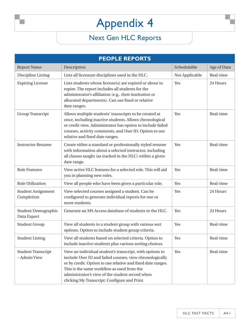| <b>PEOPLE REPORTS</b>                     |                                                                                                                                                                                                                                                                                                                                      |                |             |
|-------------------------------------------|--------------------------------------------------------------------------------------------------------------------------------------------------------------------------------------------------------------------------------------------------------------------------------------------------------------------------------------|----------------|-------------|
| <b>Report Name</b>                        | Description                                                                                                                                                                                                                                                                                                                          | Schedulable    | Age of Data |
| Discipline Listing                        | Lists all licensure disciplines used in the HLC.                                                                                                                                                                                                                                                                                     | Not Applicable | Real-time   |
| <b>Expiring License</b>                   | Lists students whose license(s) are expired or about to<br>expire. The report includes all students for the<br>administrator's affiliation (e.g., their institution or<br>allocated departments). Can use fixed or relative<br>date ranges.                                                                                          | Yes            | 24 Hours    |
| <b>Group Transcript</b>                   | Allows multiple students' transcripts to be created at<br>once, including inactive students. Allows chronological<br>or credit view. Administrator has option to include failed<br>courses, activity comments, and User ID. Option to use<br>relative and fixed date ranges.                                                         | Yes            | Real-time   |
| <b>Instructor Resume</b>                  | Create either a standard or professionally styled resume<br>with information about a selected instructor, including<br>all classes taught (as tracked in the HLC) within a given<br>date range.                                                                                                                                      | <b>Yes</b>     | Real-time   |
| <b>Role Features</b>                      | View active HLC features for a selected role. This will aid<br>you in planning new roles.                                                                                                                                                                                                                                            | Yes            | Real-time   |
| <b>Role Utilization</b>                   | View all people who have been given a particular role.                                                                                                                                                                                                                                                                               | Yes            | Real-time   |
| <b>Student Assignment</b><br>Completion   | View selected courses assigned a student. Can be<br>configured to generate individual reports for one or<br>more students.                                                                                                                                                                                                           | Yes            | 24 Hours    |
| <b>Student Demographic</b><br>Data Export | Generate an MS Access database of students in the HLC.                                                                                                                                                                                                                                                                               | Yes            | 24 Hours    |
| <b>Student Group</b>                      | View all students in a student group with various sort<br>options. Option to include student group criteria.                                                                                                                                                                                                                         | Yes            | Real-time   |
| <b>Student Listing</b>                    | View all students based on selected criteria. Option to<br>include inactive students plus various sorting choices.                                                                                                                                                                                                                   | Yes            | Real-time   |
| <b>Student Transcript</b><br>- Admin View | View an individual student's transcript, with options to<br>include User ID and failed courses, view chronologically<br>or by credit. Option to use relative and fixed date ranges.<br>This is the same workflow as used from the<br>administrator's view of the student record when<br>clicking My Transcript: Configure and Print. | Yes            | Real-time   |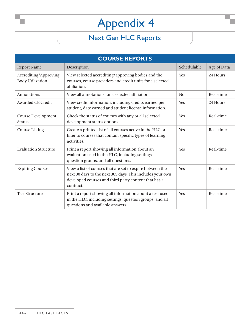| <b>COURSE REPORTS</b>                            |                                                                                                                                                                                             |             |             |
|--------------------------------------------------|---------------------------------------------------------------------------------------------------------------------------------------------------------------------------------------------|-------------|-------------|
| <b>Report Name</b>                               | Description                                                                                                                                                                                 | Schedulable | Age of Data |
| Accrediting/Approving<br><b>Body Utilization</b> | View selected accrediting/approving bodies and the<br>courses, course providers and credit units for a selected<br>affiliation.                                                             | Yes         | 24 Hours    |
| Annotations                                      | View all annotations for a selected affiliation.                                                                                                                                            | No          | Real-time   |
| <b>Awarded CE Credit</b>                         | View credit information, including credits earned per<br>student, date earned and student license information.                                                                              | Yes         | 24 Hours    |
| <b>Course Development</b><br><b>Status</b>       | Check the status of courses with any or all selected<br>development status options.                                                                                                         | Yes         | Real-time   |
| <b>Course Listing</b>                            | Create a printed list of all courses active in the HLC or<br>filter to courses that contain specific types of learning<br>activities.                                                       | Yes         | Real-time   |
| <b>Evaluation Structure</b>                      | Print a report showing all information about an<br>evaluation used in the HLC, including settings,<br>question groups, and all questions.                                                   | Yes         | Real-time   |
| <b>Expiring Courses</b>                          | View a list of courses that are set to expire between the<br>next 30 days to the next 365 days. This includes your own<br>developed courses and third party content that has a<br>contract. | Yes         | Real-time   |
| <b>Test Structure</b>                            | Print a report showing all information about a test used<br>in the HLC, including settings, question groups, and all<br>questions and available answers.                                    | Yes         | Real-time   |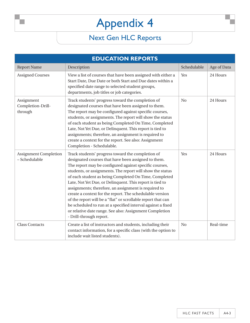| <b>EDUCATION REPORTS</b>                      |                                                                                                                                                                                                                                                                                                                                                                                                                                                                                                                                                                                                                                                                                               |                |             |
|-----------------------------------------------|-----------------------------------------------------------------------------------------------------------------------------------------------------------------------------------------------------------------------------------------------------------------------------------------------------------------------------------------------------------------------------------------------------------------------------------------------------------------------------------------------------------------------------------------------------------------------------------------------------------------------------------------------------------------------------------------------|----------------|-------------|
| <b>Report Name</b>                            | Description                                                                                                                                                                                                                                                                                                                                                                                                                                                                                                                                                                                                                                                                                   | Schedulable    | Age of Data |
| <b>Assigned Courses</b>                       | View a list of courses that have been assigned with either a<br>Start Date, Due Date or both Start and Due dates within a<br>specified date range to selected student groups,<br>departments, job titles or job categories.                                                                                                                                                                                                                                                                                                                                                                                                                                                                   | Yes            | 24 Hours    |
| Assignment<br>Completion-Drill-<br>through    | Track students' progress toward the completion of<br>designated courses that have been assigned to them.<br>The report may be configured against specific courses,<br>students, or assignments. The report will show the status<br>of each student as being Completed On Time, Completed<br>Late, Not Yet Due, or Delinquent. This report is tied to<br>assignments; therefore, an assignment is required to<br>create a context for the report. See also: Assignment<br>Completion - Schedulable.                                                                                                                                                                                            | N <sub>o</sub> | 24 Hours    |
| <b>Assignment Completion</b><br>- Schedulable | Track students' progress toward the completion of<br>designated courses that have been assigned to them.<br>The report may be configured against specific courses,<br>students, or assignments. The report will show the status<br>of each student as being Completed On Time, Completed<br>Late, Not Yet Due, or Delinquent. This report is tied to<br>assignments; therefore, an assignment is required to<br>create a context for the report. The schedulable version<br>of the report will be a "flat" or scrollable report that can<br>be scheduled to run at a specified interval against a fixed<br>or relative date range. See also: Assignment Completion<br>- Drill-through report. | Yes            | 24 Hours    |
| <b>Class Contacts</b>                         | Create a list of instructors and students, including their<br>contact information, for a specific class (with the option to<br>include wait listed students).                                                                                                                                                                                                                                                                                                                                                                                                                                                                                                                                 | N <sub>o</sub> | Real-time   |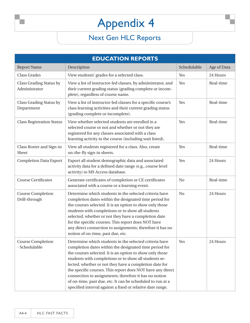| <b>EDUCATION REPORTS</b>                  |                                                                                                                                                                                                                                                                                                                                                                                                                                                                                                                                                    |                |             |
|-------------------------------------------|----------------------------------------------------------------------------------------------------------------------------------------------------------------------------------------------------------------------------------------------------------------------------------------------------------------------------------------------------------------------------------------------------------------------------------------------------------------------------------------------------------------------------------------------------|----------------|-------------|
| <b>Report Name</b>                        | Description                                                                                                                                                                                                                                                                                                                                                                                                                                                                                                                                        | Schedulable    | Age of Data |
| <b>Class Grades</b>                       | View students' grades for a selected class.                                                                                                                                                                                                                                                                                                                                                                                                                                                                                                        | Yes            | 24 Hours    |
| Class Grading Status by<br>Administrator  | View a list of instructor-led classes, by administrator, and<br>their current grading status (grading complete or incom-<br>plete), regardless of course name.                                                                                                                                                                                                                                                                                                                                                                                     | Yes            | Real-time   |
| Class Grading Status by<br>Department     | View a list of instructor-led classes for a specific course's<br>class learning activities and their current grading status<br>(grading complete or incomplete).                                                                                                                                                                                                                                                                                                                                                                                   | Yes            | Real-time   |
| <b>Class Registration Status</b>          | View whether selected students are enrolled in a<br>selected course or not and whether or not they are<br>registered for any classes associated with a class<br>learning activity in the course (including wait listed).                                                                                                                                                                                                                                                                                                                           | Yes            | Real-time   |
| Class Roster and Sign-in<br>Sheet         | View all students registered for a class. Also, create<br>on-the-fly sign-in sheets.                                                                                                                                                                                                                                                                                                                                                                                                                                                               | Yes            | Real-time   |
| <b>Completion Data Export</b>             | Export all student demographic data and associated<br>activity data for a defined date range (e.g., course level<br>activity) to MS Access database.                                                                                                                                                                                                                                                                                                                                                                                               | Yes            | 24 Hours    |
| <b>Course Certificates</b>                | Generate certificates of completion or CE certificates<br>associated with a course or a learning event.                                                                                                                                                                                                                                                                                                                                                                                                                                            | N <sub>0</sub> | Real-time   |
| <b>Course Completion</b><br>Drill-through | Determine which students in the selected criteria have<br>completion dates within the designated time period for<br>the courses selected. It is an option to show only those<br>students with completions or to show all students<br>selected, whether or not they have a completion date<br>for the specific courses. This report does NOT have<br>any direct connection to assignments; therefore it has no<br>notion of on-time, past due, etc.                                                                                                 | N <sub>0</sub> | 24 Hours    |
| Course Completion<br>- Schedulable        | Determine which students in the selected criteria have<br>completion dates within the designated time period for<br>the courses selected. It is an option to show only those<br>students with completions or to show all students se-<br>lected, whether or not they have a completion date for<br>the specific courses. This report does NOT have any direct<br>connection to assignments; therefore it has no notion<br>of on-time, past due, etc. It can be scheduled to run at a<br>specified interval against a fixed or relative date range. | Yes            | 24 Hours    |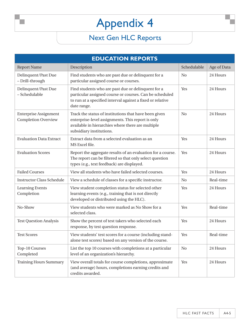| <b>EDUCATION REPORTS</b>                                   |                                                                                                                                                                                             |                |             |
|------------------------------------------------------------|---------------------------------------------------------------------------------------------------------------------------------------------------------------------------------------------|----------------|-------------|
| <b>Report Name</b>                                         | Description                                                                                                                                                                                 | Schedulable    | Age of Data |
| Delinquent/Past Due<br>- Drill-through                     | Find students who are past due or delinquent for a<br>particular assigned course or courses.                                                                                                | N <sub>0</sub> | 24 Hours    |
| Delinquent/Past Due<br>- Schedulable                       | Find students who are past due or delinquent for a<br>particular assigned course or courses. Can be scheduled<br>to run at a specified interval against a fixed or relative<br>date range.  | Yes            | 24 Hours    |
| <b>Enterprise Assignment</b><br><b>Completion Overview</b> | Track the status of institutions that have been given<br>enterprise-level assignments. This report is only<br>available in hierarchies where there are multiple<br>subsidiary institutions. | N <sub>0</sub> | 24 Hours    |
| <b>Evaluation Data Extract</b>                             | Extract data from a selected evaluation as an<br>MS Excel file.                                                                                                                             | Yes            | 24 Hours    |
| <b>Evaluation Scores</b>                                   | Report the aggregate results of an evaluation for a course.<br>The report can be filtered so that only select question<br>types (e.g., text feedback) are displayed.                        | Yes            | 24 Hours    |
| <b>Failed Courses</b>                                      | View all students who have failed selected courses.                                                                                                                                         | Yes            | 24 Hours    |
| <b>Instructor Class Schedule</b>                           | View a schedule of classes for a specific instructor.                                                                                                                                       | N <sub>0</sub> | Real-time   |
| <b>Learning Events</b><br>Completion                       | View student completion status for selected other<br>learning events (e.g., training that is not directly<br>developed or distributed using the HLC).                                       | Yes            | 24 Hours    |
| No-Show                                                    | View students who were marked as No Show for a<br>selected class.                                                                                                                           | Yes            | Real-time   |
| <b>Test Question Analysis</b>                              | Show the percent of test takers who selected each<br>response, by test question response.                                                                                                   | Yes            | 24 Hours    |
| <b>Test Scores</b>                                         | View students' test scores for a course (including stand-<br>alone test scores) based on any version of the course.                                                                         | Yes            | Real-time   |
| Top-10 Courses<br>Completed                                | List the top 10 courses with completions at a particular<br>level of an organization's hierarchy.                                                                                           | No             | 24 Hours    |
| <b>Training Hours Summary</b>                              | View overall totals for course completions, approximate<br>(and average) hours, completions earning credits and<br>credits awarded.                                                         | Yes            | 24 Hours    |